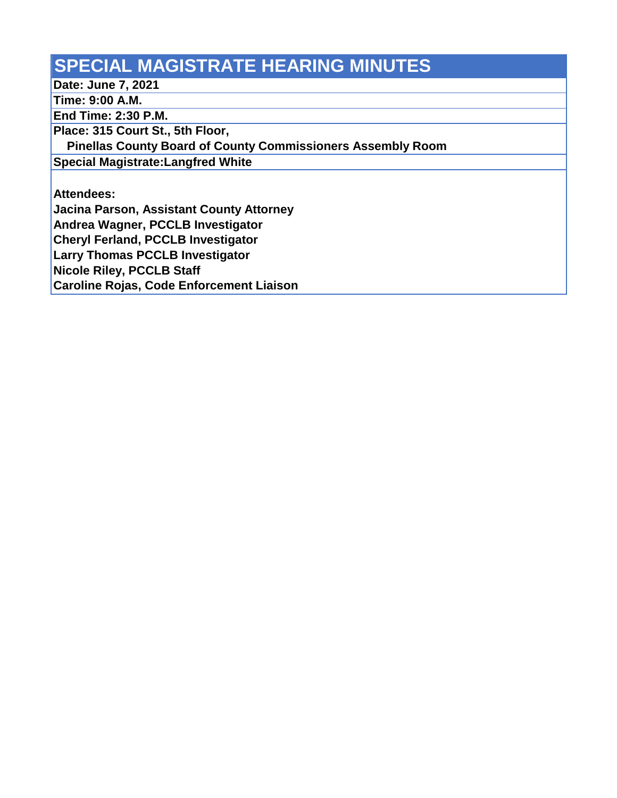## **SPECIAL MAGISTRATE HEARING MINUTES**

**Date: June 7, 2021**

**Time: 9:00 A.M.**

**End Time: 2:30 P.M.**

**Place: 315 Court St., 5th Floor,** 

 **Pinellas County Board of County Commissioners Assembly Room**

**Special Magistrate:Langfred White**

**Attendees:**

**Jacina Parson, Assistant County Attorney**

**Andrea Wagner, PCCLB Investigator**

**Cheryl Ferland, PCCLB Investigator**

**Larry Thomas PCCLB Investigator**

**Nicole Riley, PCCLB Staff** 

**Caroline Rojas, Code Enforcement Liaison**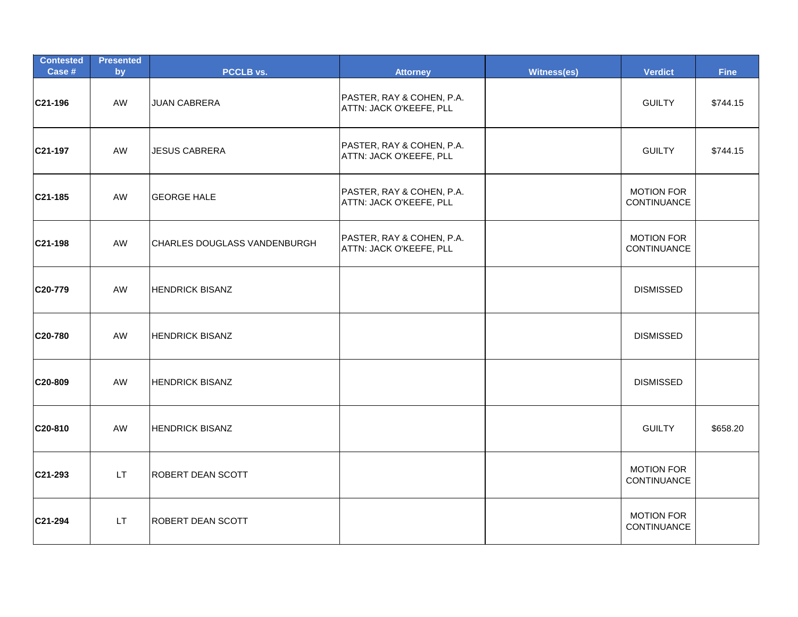| <b>Contested</b><br>Case # | <b>Presented</b><br>by | PCCLB vs.                    | <b>Attorney</b>                                      | Witness(es) | <b>Verdict</b>                   | <b>Fine</b> |
|----------------------------|------------------------|------------------------------|------------------------------------------------------|-------------|----------------------------------|-------------|
| C21-196                    | <b>AW</b>              | <b>JUAN CABRERA</b>          | PASTER, RAY & COHEN, P.A.<br>ATTN: JACK O'KEEFE, PLL |             | <b>GUILTY</b>                    | \$744.15    |
| C21-197                    | AW                     | <b>JESUS CABRERA</b>         | PASTER, RAY & COHEN, P.A.<br>ATTN: JACK O'KEEFE, PLL |             | <b>GUILTY</b>                    | \$744.15    |
| C21-185                    | <b>AW</b>              | <b>GEORGE HALE</b>           | PASTER, RAY & COHEN, P.A.<br>ATTN: JACK O'KEEFE, PLL |             | <b>MOTION FOR</b><br>CONTINUANCE |             |
| C21-198                    | AW                     | CHARLES DOUGLASS VANDENBURGH | PASTER, RAY & COHEN, P.A.<br>ATTN: JACK O'KEEFE, PLL |             | <b>MOTION FOR</b><br>CONTINUANCE |             |
| C20-779                    | AW                     | <b>HENDRICK BISANZ</b>       |                                                      |             | <b>DISMISSED</b>                 |             |
| C20-780                    | AW                     | <b>HENDRICK BISANZ</b>       |                                                      |             | <b>DISMISSED</b>                 |             |
| C <sub>20</sub> -809       | AW                     | <b>HENDRICK BISANZ</b>       |                                                      |             | <b>DISMISSED</b>                 |             |
| C20-810                    | AW                     | <b>HENDRICK BISANZ</b>       |                                                      |             | <b>GUILTY</b>                    | \$658.20    |
| C21-293                    | LT.                    | <b>ROBERT DEAN SCOTT</b>     |                                                      |             | <b>MOTION FOR</b><br>CONTINUANCE |             |
| C21-294                    | LT.                    | <b>ROBERT DEAN SCOTT</b>     |                                                      |             | <b>MOTION FOR</b><br>CONTINUANCE |             |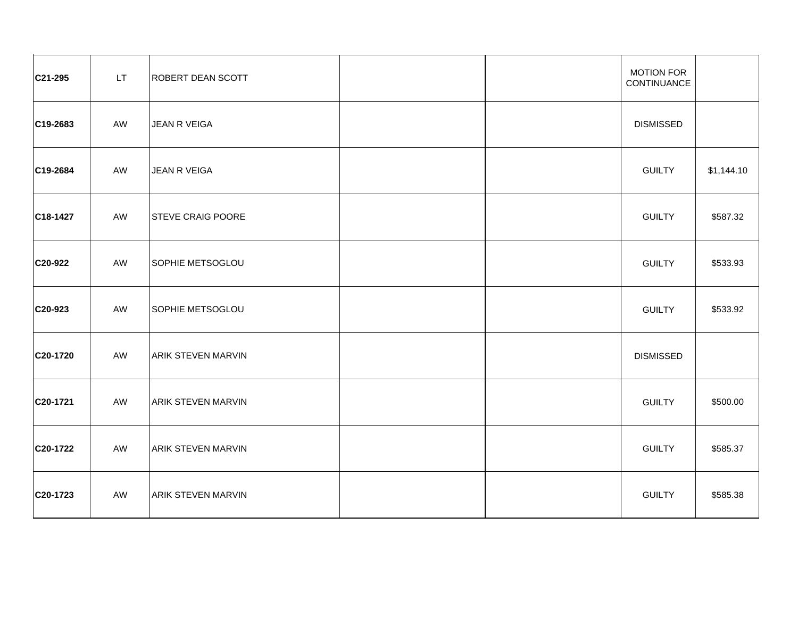| C21-295  | LT. | <b>ROBERT DEAN SCOTT</b>  |  | <b>MOTION FOR</b><br>CONTINUANCE |            |
|----------|-----|---------------------------|--|----------------------------------|------------|
| C19-2683 | AW  | <b>JEAN R VEIGA</b>       |  | <b>DISMISSED</b>                 |            |
| C19-2684 | AW  | JEAN R VEIGA              |  | <b>GUILTY</b>                    | \$1,144.10 |
| C18-1427 | AW  | <b>STEVE CRAIG POORE</b>  |  | <b>GUILTY</b>                    | \$587.32   |
| C20-922  | AW  | SOPHIE METSOGLOU          |  | <b>GUILTY</b>                    | \$533.93   |
| C20-923  | AW  | SOPHIE METSOGLOU          |  | <b>GUILTY</b>                    | \$533.92   |
| C20-1720 | AW  | <b>ARIK STEVEN MARVIN</b> |  | <b>DISMISSED</b>                 |            |
| C20-1721 | AW  | <b>ARIK STEVEN MARVIN</b> |  | <b>GUILTY</b>                    | \$500.00   |
| C20-1722 | AW  | <b>ARIK STEVEN MARVIN</b> |  | <b>GUILTY</b>                    | \$585.37   |
| C20-1723 | AW  | <b>ARIK STEVEN MARVIN</b> |  | <b>GUILTY</b>                    | \$585.38   |